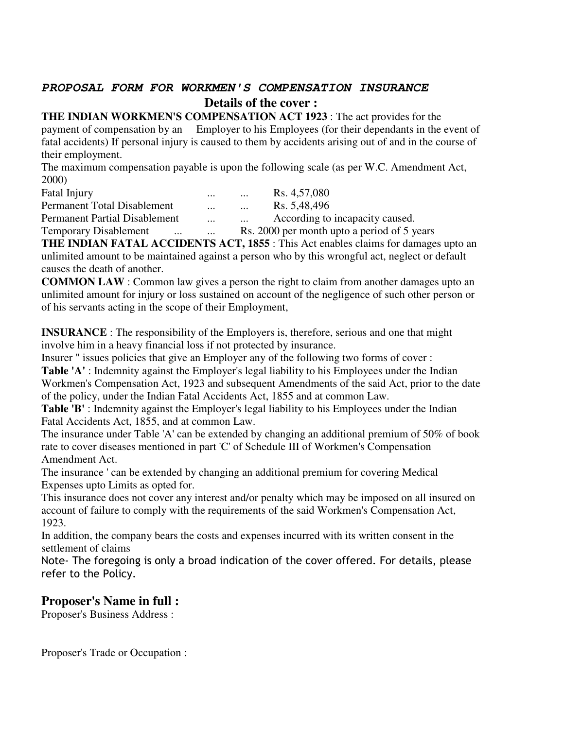# **PROPOSAL FORM FOR WORKMEN'S COMPENSATION INSURANCE Details of the cover :**

**THE INDIAN WORKMEN'S COMPENSATION ACT 1923** : The act provides for the payment of compensation by an Employer to his Employees (for their dependants in the event of fatal accidents) If personal injury is caused to them by accidents arising out of and in the course of their employment.

The maximum compensation payable is upon the following scale (as per W.C. Amendment Act, 2000)

| <b>Fatal Injury</b>                      | $\cdots$ | Rs. 4,57,080<br>$\cdots$                    |
|------------------------------------------|----------|---------------------------------------------|
| Permanent Total Disablement              | $\cdots$ | Rs. 5,48,496<br>$\cdots$                    |
| <b>Permanent Partial Disablement</b>     | $\cdots$ | According to incapacity caused.<br>$\cdots$ |
| <b>Temporary Disablement</b><br>$\cdots$ | $\cdots$ | Rs. 2000 per month upto a period of 5 years |

**THE INDIAN FATAL ACCIDENTS ACT, 1855** : This Act enables claims for damages upto an unlimited amount to be maintained against a person who by this wrongful act, neglect or default causes the death of another.

**COMMON LAW** : Common law gives a person the right to claim from another damages upto an unlimited amount for injury or loss sustained on account of the negligence of such other person or of his servants acting in the scope of their Employment,

**INSURANCE** : The responsibility of the Employers is, therefore, serious and one that might involve him in a heavy financial loss if not protected by insurance.

Insurer " issues policies that give an Employer any of the following two forms of cover :

**Table 'A'** : Indemnity against the Employer's legal liability to his Employees under the Indian Workmen's Compensation Act, 1923 and subsequent Amendments of the said Act, prior to the date of the policy, under the Indian Fatal Accidents Act, 1855 and at common Law.

**Table 'B'** : Indemnity against the Employer's legal liability to his Employees under the Indian Fatal Accidents Act, 1855, and at common Law.

The insurance under Table 'A' can be extended by changing an additional premium of 50% of book rate to cover diseases mentioned in part 'C' of Schedule III of Workmen's Compensation Amendment Act.

The insurance ' can be extended by changing an additional premium for covering Medical Expenses upto Limits as opted for.

This insurance does not cover any interest and/or penalty which may be imposed on all insured on account of failure to comply with the requirements of the said Workmen's Compensation Act, 1923.

In addition, the company bears the costs and expenses incurred with its written consent in the settlement of claims

Note- The foregoing is only a broad indication of the cover offered. For details, please refer to the Policy.

# **Proposer's Name in full :**

Proposer's Business Address :

Proposer's Trade or Occupation :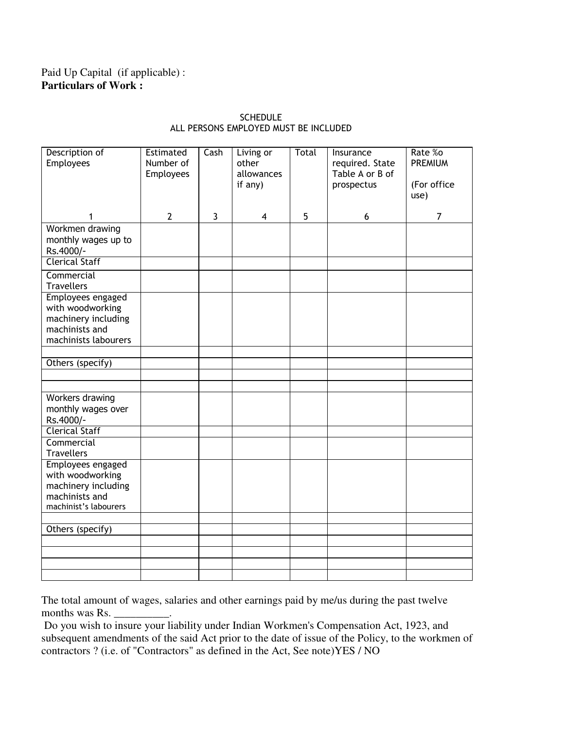# Paid Up Capital (if applicable) : **Particulars of Work :**

| Description of<br>Employees                                                                             | Estimated<br>Number of<br><b>Employees</b> | Cash           | Living or<br>other<br>allowances<br>if any) | Total | Insurance<br>required. State<br>Table A or B of<br>prospectus | Rate %o<br><b>PREMIUM</b><br>(For office<br>use) |
|---------------------------------------------------------------------------------------------------------|--------------------------------------------|----------------|---------------------------------------------|-------|---------------------------------------------------------------|--------------------------------------------------|
| 1                                                                                                       | $\overline{2}$                             | $\overline{3}$ | $\overline{\mathbf{4}}$                     | 5     | 6                                                             | $\overline{7}$                                   |
| Workmen drawing<br>monthly wages up to<br>Rs.4000/-                                                     |                                            |                |                                             |       |                                                               |                                                  |
| <b>Clerical Staff</b>                                                                                   |                                            |                |                                             |       |                                                               |                                                  |
| Commercial<br><b>Travellers</b>                                                                         |                                            |                |                                             |       |                                                               |                                                  |
| Employees engaged<br>with woodworking<br>machinery including<br>machinists and<br>machinists labourers  |                                            |                |                                             |       |                                                               |                                                  |
| Others (specify)                                                                                        |                                            |                |                                             |       |                                                               |                                                  |
|                                                                                                         |                                            |                |                                             |       |                                                               |                                                  |
|                                                                                                         |                                            |                |                                             |       |                                                               |                                                  |
| Workers drawing<br>monthly wages over<br>Rs.4000/-                                                      |                                            |                |                                             |       |                                                               |                                                  |
| <b>Clerical Staff</b>                                                                                   |                                            |                |                                             |       |                                                               |                                                  |
| Commercial<br><b>Travellers</b>                                                                         |                                            |                |                                             |       |                                                               |                                                  |
| Employees engaged<br>with woodworking<br>machinery including<br>machinists and<br>machinist's labourers |                                            |                |                                             |       |                                                               |                                                  |
|                                                                                                         |                                            |                |                                             |       |                                                               |                                                  |
| Others (specify)                                                                                        |                                            |                |                                             |       |                                                               |                                                  |
|                                                                                                         |                                            |                |                                             |       |                                                               |                                                  |
|                                                                                                         |                                            |                |                                             |       |                                                               |                                                  |
|                                                                                                         |                                            |                |                                             |       |                                                               |                                                  |
|                                                                                                         |                                            |                |                                             |       |                                                               |                                                  |

## SCHEDULE ALL PERSONS EMPLOYED MUST BE INCLUDED

The total amount of wages, salaries and other earnings paid by me/us during the past twelve months was Rs. \_

 Do you wish to insure your liability under Indian Workmen's Compensation Act, 1923, and subsequent amendments of the said Act prior to the date of issue of the Policy, to the workmen of contractors ? (i.e. of "Contractors" as defined in the Act, See note)YES / NO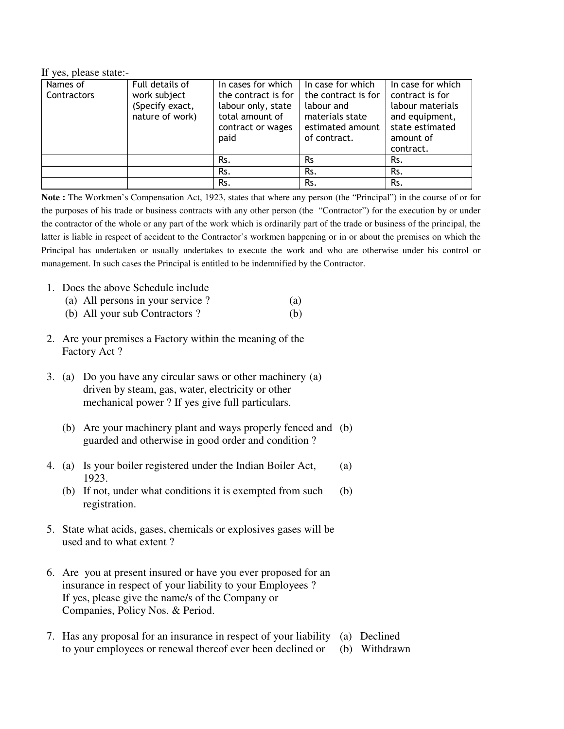If yes, please state:-

| Names of    | Full details of                 | In cases for which                        | In case for which                   | In case for which                   |
|-------------|---------------------------------|-------------------------------------------|-------------------------------------|-------------------------------------|
| Contractors | work subject<br>(Specify exact, | the contract is for<br>labour only, state | the contract is for<br>labour and   | contract is for<br>labour materials |
|             | nature of work)                 | total amount of<br>contract or wages      | materials state<br>estimated amount | and equipment,<br>state estimated   |
|             |                                 | paid                                      | of contract.                        | amount of                           |
|             |                                 |                                           |                                     | contract.                           |
|             |                                 | Rs.                                       | <b>Rs</b>                           | Rs.                                 |
|             |                                 | Rs.                                       | Rs.                                 | Rs.                                 |
|             |                                 | Rs.                                       | Rs.                                 | Rs.                                 |

**Note :** The Workmen's Compensation Act, 1923, states that where any person (the "Principal") in the course of or for the purposes of his trade or business contracts with any other person (the "Contractor") for the execution by or under the contractor of the whole or any part of the work which is ordinarily part of the trade or business of the principal, the latter is liable in respect of accident to the Contractor's workmen happening or in or about the premises on which the Principal has undertaken or usually undertakes to execute the work and who are otherwise under his control or management. In such cases the Principal is entitled to be indemnified by the Contractor.

1. Does the above Schedule include

|                        | (a) All persons in your service? | (a) |
|------------------------|----------------------------------|-----|
| $\sqrt{1}$ $\sqrt{11}$ |                                  |     |

- (b) All your sub Contractors ? (b)
- 2. Are your premises a Factory within the meaning of the Factory Act ?
- 3. (a) Do you have any circular saws or other machinery (a) driven by steam, gas, water, electricity or other mechanical power ? If yes give full particulars.
	- (b) Are your machinery plant and ways properly fenced and (b) guarded and otherwise in good order and condition ?
- 4. (a) Is your boiler registered under the Indian Boiler Act, (a) 1923.
	- (b) If not, under what conditions it is exempted from such (b) registration.
- 5. State what acids, gases, chemicals or explosives gases will be used and to what extent ?
- 6. Are you at present insured or have you ever proposed for an insurance in respect of your liability to your Employees ? If yes, please give the name/s of the Company or Companies, Policy Nos. & Period.
- 7. Has any proposal for an insurance in respect of your liability (a) Declined to your employees or renewal thereof ever been declined or (b) Withdrawn